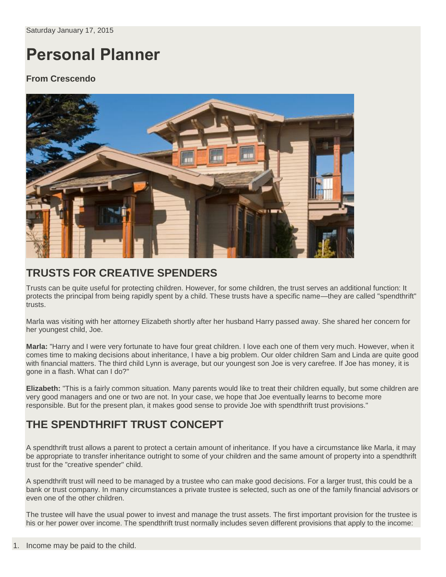# **Personal Planner**

#### **From Crescendo**



## **TRUSTS FOR CREATIVE SPENDERS**

Trusts can be quite useful for protecting children. However, for some children, the trust serves an additional function: It protects the principal from being rapidly spent by a child. These trusts have a specific name—they are called "spendthrift" trusts.

Marla was visiting with her attorney Elizabeth shortly after her husband Harry passed away. She shared her concern for her youngest child, Joe.

**Marla:** "Harry and I were very fortunate to have four great children. I love each one of them very much. However, when it comes time to making decisions about inheritance, I have a big problem. Our older children Sam and Linda are quite good with financial matters. The third child Lynn is average, but our youngest son Joe is very carefree. If Joe has money, it is gone in a flash. What can I do?"

**Elizabeth:** "This is a fairly common situation. Many parents would like to treat their children equally, but some children are very good managers and one or two are not. In your case, we hope that Joe eventually learns to become more responsible. But for the present plan, it makes good sense to provide Joe with spendthrift trust provisions."

## **THE SPENDTHRIFT TRUST CONCEPT**

A spendthrift trust allows a parent to protect a certain amount of inheritance. If you have a circumstance like Marla, it may be appropriate to transfer inheritance outright to some of your children and the same amount of property into a spendthrift trust for the "creative spender" child.

A spendthrift trust will need to be managed by a trustee who can make good decisions. For a larger trust, this could be a bank or trust company. In many circumstances a private trustee is selected, such as one of the family financial advisors or even one of the other children.

The trustee will have the usual power to invest and manage the trust assets. The first important provision for the trustee is his or her power over income. The spendthrift trust normally includes seven different provisions that apply to the income: